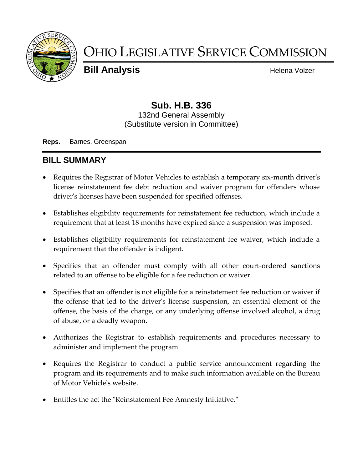

# OHIO LEGISLATIVE SERVICE COMMISSION

**Bill Analysis Helena Volzer Helena Volzer** 

## **Sub. H.B. 336**

132nd General Assembly (Substitute version in Committee)

**Reps.** Barnes, Greenspan

## **BILL SUMMARY**

- Requires the Registrar of Motor Vehicles to establish a temporary six-month driver's license reinstatement fee debt reduction and waiver program for offenders whose driver's licenses have been suspended for specified offenses.
- Establishes eligibility requirements for reinstatement fee reduction, which include a requirement that at least 18 months have expired since a suspension was imposed.
- Establishes eligibility requirements for reinstatement fee waiver, which include a requirement that the offender is indigent.
- Specifies that an offender must comply with all other court-ordered sanctions related to an offense to be eligible for a fee reduction or waiver.
- Specifies that an offender is not eligible for a reinstatement fee reduction or waiver if the offense that led to the driver's license suspension, an essential element of the offense, the basis of the charge, or any underlying offense involved alcohol, a drug of abuse, or a deadly weapon.
- Authorizes the Registrar to establish requirements and procedures necessary to administer and implement the program.
- Requires the Registrar to conduct a public service announcement regarding the program and its requirements and to make such information available on the Bureau of Motor Vehicle's website.
- Entitles the act the "Reinstatement Fee Amnesty Initiative."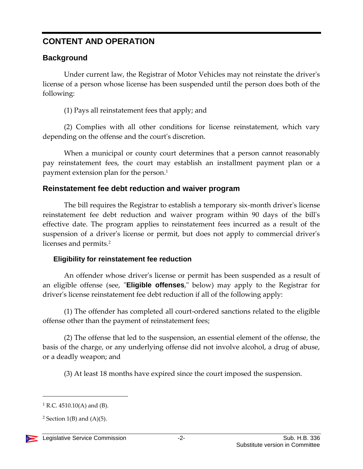## **CONTENT AND OPERATION**

#### **Background**

Under current law, the Registrar of Motor Vehicles may not reinstate the driver's license of a person whose license has been suspended until the person does both of the following:

(1) Pays all reinstatement fees that apply; and

(2) Complies with all other conditions for license reinstatement, which vary depending on the offense and the court's discretion.

When a municipal or county court determines that a person cannot reasonably pay reinstatement fees, the court may establish an installment payment plan or a payment extension plan for the person.<sup>1</sup>

#### **Reinstatement fee debt reduction and waiver program**

The bill requires the Registrar to establish a temporary six-month driver's license reinstatement fee debt reduction and waiver program within 90 days of the bill's effective date. The program applies to reinstatement fees incurred as a result of the suspension of a driver's license or permit, but does not apply to commercial driver's licenses and permits.<sup>2</sup>

#### **Eligibility for reinstatement fee reduction**

An offender whose driver's license or permit has been suspended as a result of an eligible offense (see, "**Eligible offenses**," below) may apply to the Registrar for driver's license reinstatement fee debt reduction if all of the following apply:

(1) The offender has completed all court-ordered sanctions related to the eligible offense other than the payment of reinstatement fees;

(2) The offense that led to the suspension, an essential element of the offense, the basis of the charge, or any underlying offense did not involve alcohol, a drug of abuse, or a deadly weapon; and

(3) At least 18 months have expired since the court imposed the suspension.

<sup>&</sup>lt;sup>2</sup> Section 1(B) and  $(A)(5)$ .



 $\overline{a}$ 

 $1 R.C. 4510.10(A)$  and (B).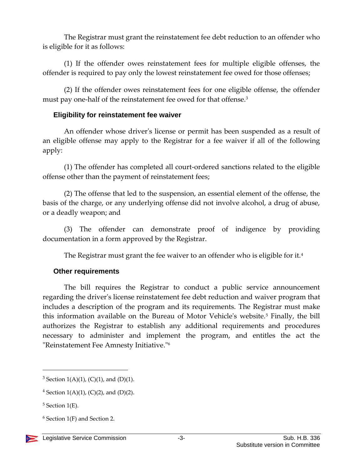The Registrar must grant the reinstatement fee debt reduction to an offender who is eligible for it as follows:

(1) If the offender owes reinstatement fees for multiple eligible offenses, the offender is required to pay only the lowest reinstatement fee owed for those offenses;

(2) If the offender owes reinstatement fees for one eligible offense, the offender must pay one-half of the reinstatement fee owed for that offense.<sup>3</sup>

#### **Eligibility for reinstatement fee waiver**

An offender whose driver's license or permit has been suspended as a result of an eligible offense may apply to the Registrar for a fee waiver if all of the following apply:

(1) The offender has completed all court-ordered sanctions related to the eligible offense other than the payment of reinstatement fees;

(2) The offense that led to the suspension, an essential element of the offense, the basis of the charge, or any underlying offense did not involve alcohol, a drug of abuse, or a deadly weapon; and

(3) The offender can demonstrate proof of indigence by providing documentation in a form approved by the Registrar.

The Registrar must grant the fee waiver to an offender who is eligible for it.<sup>4</sup>

#### **Other requirements**

The bill requires the Registrar to conduct a public service announcement regarding the driver's license reinstatement fee debt reduction and waiver program that includes a description of the program and its requirements. The Registrar must make this information available on the Bureau of Motor Vehicle's website.<sup>5</sup> Finally, the bill authorizes the Registrar to establish any additional requirements and procedures necessary to administer and implement the program, and entitles the act the "Reinstatement Fee Amnesty Initiative."<sup>6</sup>

 $\overline{a}$ 

 $6$  Section 1(F) and Section 2.



<sup>&</sup>lt;sup>3</sup> Section 1(A)(1), (C)(1), and (D)(1).

<sup>&</sup>lt;sup>4</sup> Section 1(A)(1), (C)(2), and (D)(2).

 $5$  Section 1(E).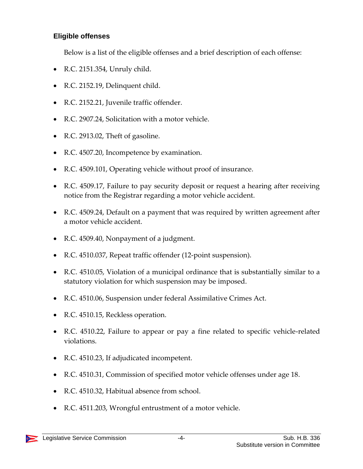#### **Eligible offenses**

Below is a list of the eligible offenses and a brief description of each offense:

- R.C. 2151.354, Unruly child.
- R.C. 2152.19, Delinquent child.
- R.C. 2152.21, Juvenile traffic offender.
- R.C. 2907.24, Solicitation with a motor vehicle.
- R.C. 2913.02, Theft of gasoline.
- R.C. 4507.20, Incompetence by examination.
- R.C. 4509.101, Operating vehicle without proof of insurance.
- R.C. 4509.17, Failure to pay security deposit or request a hearing after receiving notice from the Registrar regarding a motor vehicle accident.
- R.C. 4509.24, Default on a payment that was required by written agreement after a motor vehicle accident.
- R.C. 4509.40, Nonpayment of a judgment.
- R.C. 4510.037, Repeat traffic offender (12-point suspension).
- R.C. 4510.05, Violation of a municipal ordinance that is substantially similar to a statutory violation for which suspension may be imposed.
- R.C. 4510.06, Suspension under federal Assimilative Crimes Act.
- R.C. 4510.15, Reckless operation.
- R.C. 4510.22, Failure to appear or pay a fine related to specific vehicle-related violations.
- R.C. 4510.23, If adjudicated incompetent.
- R.C. 4510.31, Commission of specified motor vehicle offenses under age 18.
- R.C. 4510.32, Habitual absence from school.
- R.C. 4511.203, Wrongful entrustment of a motor vehicle.